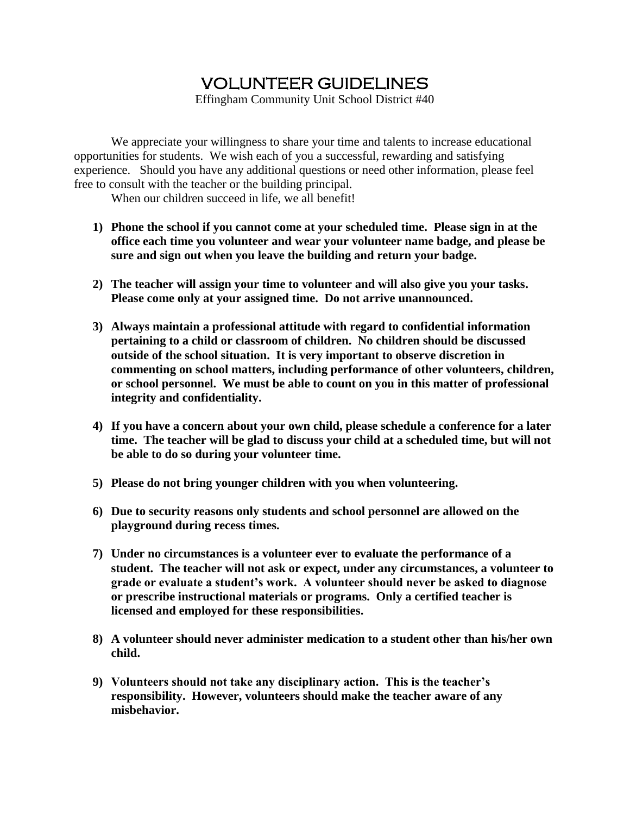## VOLUNTEER GUIDELINES

Effingham Community Unit School District #40

We appreciate your willingness to share your time and talents to increase educational opportunities for students. We wish each of you a successful, rewarding and satisfying experience. Should you have any additional questions or need other information, please feel free to consult with the teacher or the building principal.

When our children succeed in life, we all benefit!

- **1) Phone the school if you cannot come at your scheduled time. Please sign in at the office each time you volunteer and wear your volunteer name badge, and please be sure and sign out when you leave the building and return your badge.**
- **2) The teacher will assign your time to volunteer and will also give you your tasks. Please come only at your assigned time. Do not arrive unannounced.**
- **3) Always maintain a professional attitude with regard to confidential information pertaining to a child or classroom of children. No children should be discussed outside of the school situation. It is very important to observe discretion in commenting on school matters, including performance of other volunteers, children, or school personnel. We must be able to count on you in this matter of professional integrity and confidentiality.**
- **4) If you have a concern about your own child, please schedule a conference for a later time. The teacher will be glad to discuss your child at a scheduled time, but will not be able to do so during your volunteer time.**
- **5) Please do not bring younger children with you when volunteering.**
- **6) Due to security reasons only students and school personnel are allowed on the playground during recess times.**
- **7) Under no circumstances is a volunteer ever to evaluate the performance of a student. The teacher will not ask or expect, under any circumstances, a volunteer to grade or evaluate a student's work. A volunteer should never be asked to diagnose or prescribe instructional materials or programs. Only a certified teacher is licensed and employed for these responsibilities.**
- **8) A volunteer should never administer medication to a student other than his/her own child.**
- **9) Volunteers should not take any disciplinary action. This is the teacher's responsibility. However, volunteers should make the teacher aware of any misbehavior.**